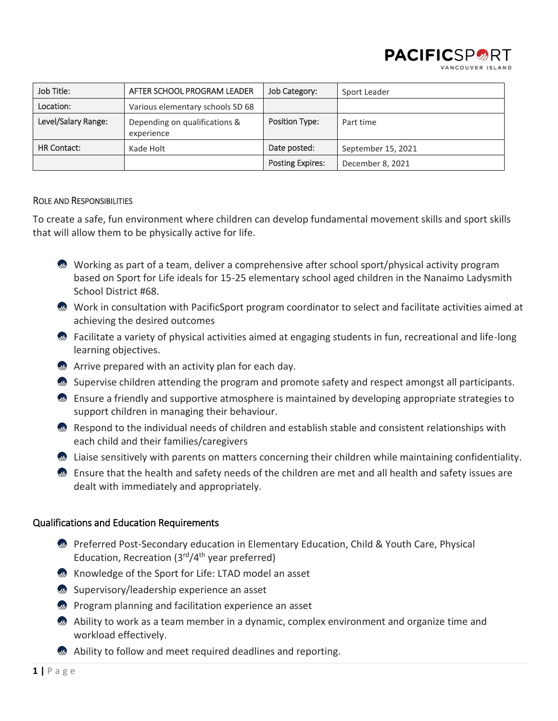

| Job Title:          | AFTER SCHOOL PROGRAM LEADER                 | Job Category:           | Sport Leader       |
|---------------------|---------------------------------------------|-------------------------|--------------------|
| Location:           | Various elementary schools SD 68            |                         |                    |
| Level/Salary Range: | Depending on qualifications &<br>experience | Position Type:          | Part time          |
| <b>HR Contact:</b>  | Kade Holt                                   | Date posted:            | September 15, 2021 |
|                     |                                             | <b>Posting Expires:</b> | December 8, 2021   |

### ROLE AND RESPONSIBILITIES

To create a safe, fun environment where children can develop fundamental movement skills and sport skills that will allow them to be physically active for life.

- Working as part of a team, deliver a comprehensive after school sport/physical activity program based on Sport for Life ideals for 15-25 elementary school aged children in the Nanaimo Ladysmith School District #68.
- Work in consultation with PacificSport program coordinator to select and facilitate activities aimed at achieving the desired outcomes
- $\bullet$  Facilitate a variety of physical activities aimed at engaging students in fun, recreational and life-long learning objectives.
- **Arrive prepared with an activity plan for each day.**
- Supervise children attending the program and promote safety and respect amongst all participants.
- **Ensure a friendly and supportive atmosphere is maintained by developing appropriate strategies to** support children in managing their behaviour.
- **2** Respond to the individual needs of children and establish stable and consistent relationships with each child and their families/caregivers
- **2** Liaise sensitively with parents on matters concerning their children while maintaining confidentiality.
- $\bullet$  Ensure that the health and safety needs of the children are met and all health and safety issues are dealt with immediately and appropriately.

# Qualifications and Education Requirements

- **Preferred Post-Secondary education in Elementary Education, Child & Youth Care, Physical** Education, Recreation  $(3<sup>rd</sup>/4<sup>th</sup>)$  year preferred)
- **M** Knowledge of the Sport for Life: LTAD model an asset
- Supervisory/leadership experience an asset
- *D* Program planning and facilitation experience an asset
- Ability to work as a team member in a dynamic, complex environment and organize time and workload effectively.
- **Ability to follow and meet required deadlines and reporting.**